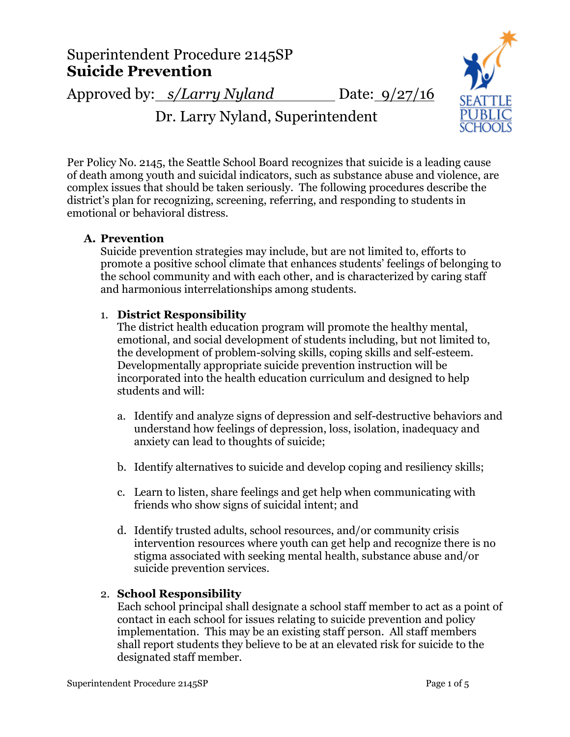# Superintendent Procedure 2145SP **Suicide Prevention**

Approved by: *s/Larry Nyland* Date: 9/27/16



Dr. Larry Nyland, Superintendent

Per Policy No. 2145, the Seattle School Board recognizes that suicide is a leading cause of death among youth and suicidal indicators, such as substance abuse and violence, are complex issues that should be taken seriously. The following procedures describe the district's plan for recognizing, screening, referring, and responding to students in emotional or behavioral distress.

# **A. Prevention**

Suicide prevention strategies may include, but are not limited to, efforts to promote a positive school climate that enhances students' feelings of belonging to the school community and with each other, and is characterized by caring staff and harmonious interrelationships among students.

# 1. **District Responsibility**

The district health education program will promote the healthy mental, emotional, and social development of students including, but not limited to, the development of problem-solving skills, coping skills and self-esteem. Developmentally appropriate suicide prevention instruction will be incorporated into the health education curriculum and designed to help students and will:

- a. Identify and analyze signs of depression and self-destructive behaviors and understand how feelings of depression, loss, isolation, inadequacy and anxiety can lead to thoughts of suicide;
- b. Identify alternatives to suicide and develop coping and resiliency skills;
- c. Learn to listen, share feelings and get help when communicating with friends who show signs of suicidal intent; and
- d. Identify trusted adults, school resources, and/or community crisis intervention resources where youth can get help and recognize there is no stigma associated with seeking mental health, substance abuse and/or suicide prevention services.

# 2. **School Responsibility**

Each school principal shall designate a school staff member to act as a point of contact in each school for issues relating to suicide prevention and policy implementation. This may be an existing staff person. All staff members shall report students they believe to be at an elevated risk for suicide to the designated staff member.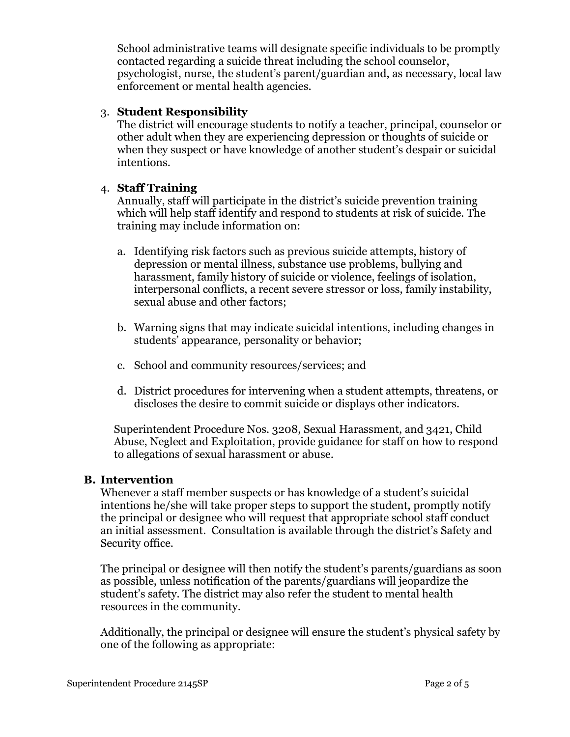School administrative teams will designate specific individuals to be promptly contacted regarding a suicide threat including the school counselor, psychologist, nurse, the student's parent/guardian and, as necessary, local law enforcement or mental health agencies.

## 3. **Student Responsibility**

The district will encourage students to notify a teacher, principal, counselor or other adult when they are experiencing depression or thoughts of suicide or when they suspect or have knowledge of another student's despair or suicidal intentions.

## 4. **Staff Training**

Annually, staff will participate in the district's suicide prevention training which will help staff identify and respond to students at risk of suicide. The training may include information on:

- a. Identifying risk factors such as previous suicide attempts, history of depression or mental illness, substance use problems, bullying and harassment, family history of suicide or violence, feelings of isolation, interpersonal conflicts, a recent severe stressor or loss, family instability, sexual abuse and other factors;
- b. Warning signs that may indicate suicidal intentions, including changes in students' appearance, personality or behavior;
- c. School and community resources/services; and
- d. District procedures for intervening when a student attempts, threatens, or discloses the desire to commit suicide or displays other indicators.

Superintendent Procedure Nos. 3208, Sexual Harassment, and 3421, Child Abuse, Neglect and Exploitation, provide guidance for staff on how to respond to allegations of sexual harassment or abuse.

## **B. Intervention**

Whenever a staff member suspects or has knowledge of a student's suicidal intentions he/she will take proper steps to support the student, promptly notify the principal or designee who will request that appropriate school staff conduct an initial assessment. Consultation is available through the district's Safety and Security office.

The principal or designee will then notify the student's parents/guardians as soon as possible, unless notification of the parents/guardians will jeopardize the student's safety. The district may also refer the student to mental health resources in the community.

Additionally, the principal or designee will ensure the student's physical safety by one of the following as appropriate: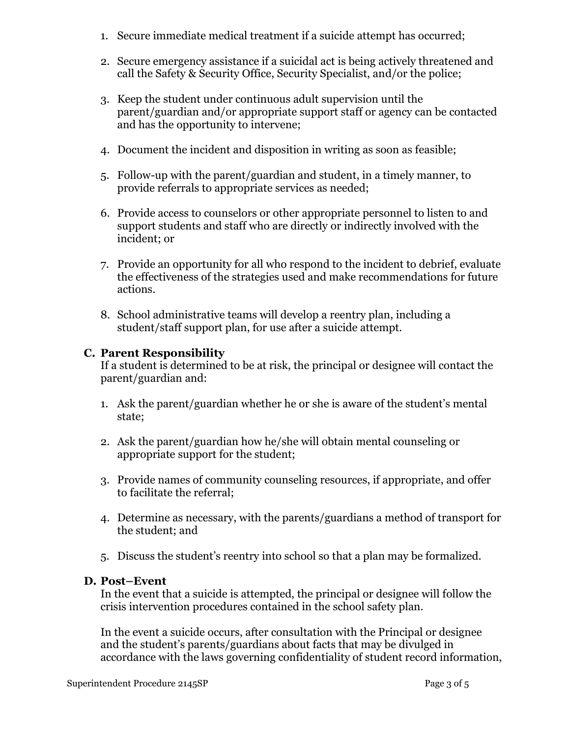- 1. Secure immediate medical treatment if a suicide attempt has occurred;
- 2. Secure emergency assistance if a suicidal act is being actively threatened and call the Safety & Security Office, Security Specialist, and/or the police;
- 3. Keep the student under continuous adult supervision until the parent/guardian and/or appropriate support staff or agency can be contacted and has the opportunity to intervene;
- 4. Document the incident and disposition in writing as soon as feasible;
- 5. Follow-up with the parent/guardian and student, in a timely manner, to provide referrals to appropriate services as needed;
- 6. Provide access to counselors or other appropriate personnel to listen to and support students and staff who are directly or indirectly involved with the incident; or
- 7. Provide an opportunity for all who respond to the incident to debrief, evaluate the effectiveness of the strategies used and make recommendations for future actions.
- 8. School administrative teams will develop a reentry plan, including a student/staff support plan, for use after a suicide attempt.

## **C. Parent Responsibility**

If a student is determined to be at risk, the principal or designee will contact the parent/guardian and:

- 1. Ask the parent/guardian whether he or she is aware of the student's mental state;
- 2. Ask the parent/guardian how he/she will obtain mental counseling or appropriate support for the student;
- 3. Provide names of community counseling resources, if appropriate, and offer to facilitate the referral;
- 4. Determine as necessary, with the parents/guardians a method of transport for the student; and
- 5. Discuss the student's reentry into school so that a plan may be formalized.

# **D. Post–Event**

In the event that a suicide is attempted, the principal or designee will follow the crisis intervention procedures contained in the school safety plan.

In the event a suicide occurs, after consultation with the Principal or designee and the student's parents/guardians about facts that may be divulged in accordance with the laws governing confidentiality of student record information,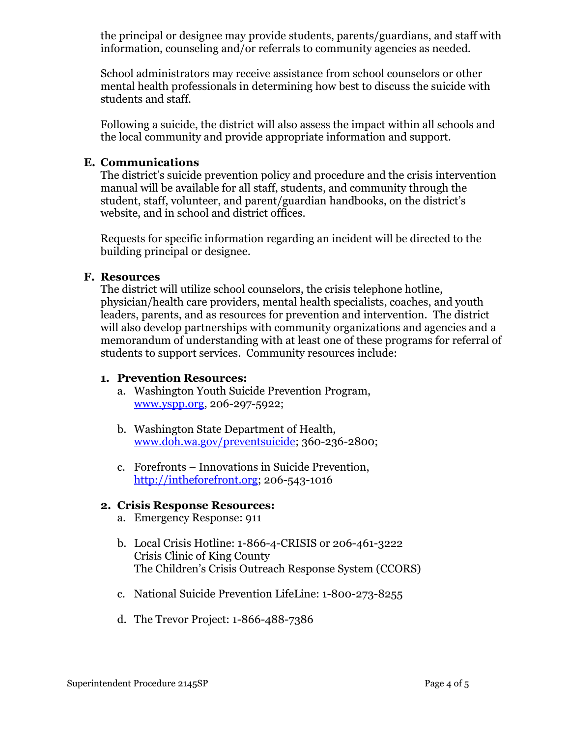the principal or designee may provide students, parents/guardians, and staff with information, counseling and/or referrals to community agencies as needed.

School administrators may receive assistance from school counselors or other mental health professionals in determining how best to discuss the suicide with students and staff.

Following a suicide, the district will also assess the impact within all schools and the local community and provide appropriate information and support.

## **E. Communications**

The district's suicide prevention policy and procedure and the crisis intervention manual will be available for all staff, students, and community through the student, staff, volunteer, and parent/guardian handbooks, on the district's website, and in school and district offices.

Requests for specific information regarding an incident will be directed to the building principal or designee.

### **F. Resources**

The district will utilize school counselors, the crisis telephone hotline, physician/health care providers, mental health specialists, coaches, and youth leaders, parents, and as resources for prevention and intervention. The district will also develop partnerships with community organizations and agencies and a memorandum of understanding with at least one of these programs for referral of students to support services. Community resources include:

### **1. Prevention Resources:**

- a. Washington Youth Suicide Prevention Program, [www.yspp.org,](http://www.yspp.org/) 206-297-5922;
- b. Washington State Department of Health, [www.doh.wa.gov/preventsuicide;](http://www.doh.wa.gov/YouandYourFamily/InjuryandViolencePrevention/YouthSuicidePrevention.aspx) 360-236-2800;
- c. Forefronts Innovations in Suicide Prevention, [http://intheforefront.org;](http://intheforefront.org/) 206-543-1016

### **2. Crisis Response Resources:**

- a. Emergency Response: 911
- b. Local Crisis Hotline: 1-866-4-CRISIS or 206-461-3222 Crisis Clinic of King County The Children's Crisis Outreach Response System (CCORS)
- c. National Suicide Prevention LifeLine: 1-800-273-8255
- d. The Trevor Project: 1-866-488-7386